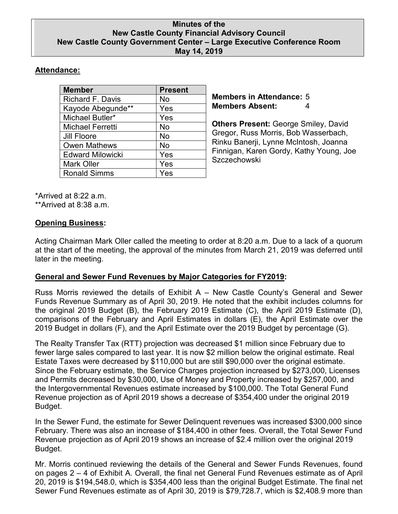### **Minutes of the New Castle County Financial Advisory Council New Castle County Government Center – Large Executive Conference Room May 14, 2019**

# **Attendance:**

| <b>Member</b>           | <b>Present</b> |
|-------------------------|----------------|
| <b>Richard F. Davis</b> | No             |
| Kayode Abegunde**       | Yes            |
| Michael Butler*         | Yes            |
| Michael Ferretti        | No             |
| <b>Jill Floore</b>      | <b>No</b>      |
| <b>Owen Mathews</b>     | No             |
| <b>Edward Milowicki</b> | Yes            |
| <b>Mark Oller</b>       | Yes            |
| <b>Ronald Simms</b>     | Yes            |

**Members in Attendance:** 5 **Members Absent:** 4

**Others Present:** George Smiley, David Gregor, Russ Morris, Bob Wasserbach, Rinku Banerji, Lynne McIntosh, Joanna Finnigan, Karen Gordy, Kathy Young, Joe **Szczechowski** 

\*Arrived at 8:22 a.m. \*\*Arrived at 8:38 a.m.

## **Opening Business:**

Acting Chairman Mark Oller called the meeting to order at 8:20 a.m. Due to a lack of a quorum at the start of the meeting, the approval of the minutes from March 21, 2019 was deferred until later in the meeting.

## **General and Sewer Fund Revenues by Major Categories for FY2019:**

Russ Morris reviewed the details of Exhibit A – New Castle County's General and Sewer Funds Revenue Summary as of April 30, 2019. He noted that the exhibit includes columns for the original 2019 Budget (B), the February 2019 Estimate (C), the April 2019 Estimate (D), comparisons of the February and April Estimates in dollars (E), the April Estimate over the 2019 Budget in dollars (F), and the April Estimate over the 2019 Budget by percentage (G).

The Realty Transfer Tax (RTT) projection was decreased \$1 million since February due to fewer large sales compared to last year. It is now \$2 million below the original estimate. Real Estate Taxes were decreased by \$110,000 but are still \$90,000 over the original estimate. Since the February estimate, the Service Charges projection increased by \$273,000, Licenses and Permits decreased by \$30,000, Use of Money and Property increased by \$257,000, and the Intergovernmental Revenues estimate increased by \$100,000. The Total General Fund Revenue projection as of April 2019 shows a decrease of \$354,400 under the original 2019 Budget.

In the Sewer Fund, the estimate for Sewer Delinquent revenues was increased \$300,000 since February. There was also an increase of \$184,400 in other fees. Overall, the Total Sewer Fund Revenue projection as of April 2019 shows an increase of \$2.4 million over the original 2019 Budget.

Mr. Morris continued reviewing the details of the General and Sewer Funds Revenues, found on pages 2 – 4 of Exhibit A. Overall, the final net General Fund Revenues estimate as of April 20, 2019 is \$194,548.0, which is \$354,400 less than the original Budget Estimate. The final net Sewer Fund Revenues estimate as of April 30, 2019 is \$79,728.7, which is \$2,408.9 more than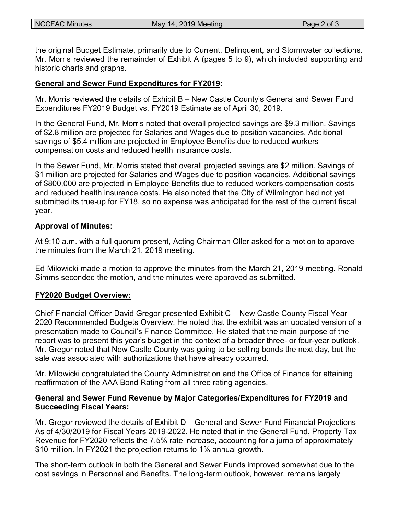the original Budget Estimate, primarily due to Current, Delinquent, and Stormwater collections. Mr. Morris reviewed the remainder of Exhibit A (pages 5 to 9), which included supporting and historic charts and graphs.

### **General and Sewer Fund Expenditures for FY2019:**

Mr. Morris reviewed the details of Exhibit B – New Castle County's General and Sewer Fund Expenditures FY2019 Budget vs. FY2019 Estimate as of April 30, 2019.

In the General Fund, Mr. Morris noted that overall projected savings are \$9.3 million. Savings of \$2.8 million are projected for Salaries and Wages due to position vacancies. Additional savings of \$5.4 million are projected in Employee Benefits due to reduced workers compensation costs and reduced health insurance costs.

In the Sewer Fund, Mr. Morris stated that overall projected savings are \$2 million. Savings of \$1 million are projected for Salaries and Wages due to position vacancies. Additional savings of \$800,000 are projected in Employee Benefits due to reduced workers compensation costs and reduced health insurance costs. He also noted that the City of Wilmington had not yet submitted its true-up for FY18, so no expense was anticipated for the rest of the current fiscal year.

### **Approval of Minutes:**

At 9:10 a.m. with a full quorum present, Acting Chairman Oller asked for a motion to approve the minutes from the March 21, 2019 meeting.

Ed Milowicki made a motion to approve the minutes from the March 21, 2019 meeting. Ronald Simms seconded the motion, and the minutes were approved as submitted.

## **FY2020 Budget Overview:**

Chief Financial Officer David Gregor presented Exhibit C – New Castle County Fiscal Year 2020 Recommended Budgets Overview. He noted that the exhibit was an updated version of a presentation made to Council's Finance Committee. He stated that the main purpose of the report was to present this year's budget in the context of a broader three- or four-year outlook. Mr. Gregor noted that New Castle County was going to be selling bonds the next day, but the sale was associated with authorizations that have already occurred.

Mr. Milowicki congratulated the County Administration and the Office of Finance for attaining reaffirmation of the AAA Bond Rating from all three rating agencies.

## **General and Sewer Fund Revenue by Major Categories/Expenditures for FY2019 and Succeeding Fiscal Years:**

Mr. Gregor reviewed the details of Exhibit D – General and Sewer Fund Financial Projections As of 4/30/2019 for Fiscal Years 2019-2022. He noted that in the General Fund, Property Tax Revenue for FY2020 reflects the 7.5% rate increase, accounting for a jump of approximately \$10 million. In FY2021 the projection returns to 1% annual growth.

The short-term outlook in both the General and Sewer Funds improved somewhat due to the cost savings in Personnel and Benefits. The long-term outlook, however, remains largely